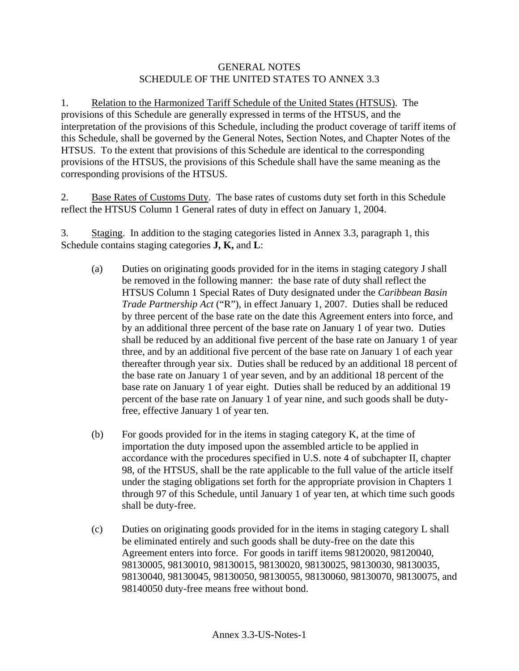## GENERAL NOTES SCHEDULE OF THE UNITED STATES TO ANNEX 3.3

1. Relation to the Harmonized Tariff Schedule of the United States (HTSUS). The provisions of this Schedule are generally expressed in terms of the HTSUS, and the interpretation of the provisions of this Schedule, including the product coverage of tariff items of this Schedule, shall be governed by the General Notes, Section Notes, and Chapter Notes of the HTSUS. To the extent that provisions of this Schedule are identical to the corresponding provisions of the HTSUS, the provisions of this Schedule shall have the same meaning as the corresponding provisions of the HTSUS.

2. Base Rates of Customs Duty. The base rates of customs duty set forth in this Schedule reflect the HTSUS Column 1 General rates of duty in effect on January 1, 2004.

3. Staging. In addition to the staging categories listed in Annex 3.3, paragraph 1, this Schedule contains staging categories **J, K,** and **L**:

- (a) Duties on originating goods provided for in the items in staging category J shall be removed in the following manner: the base rate of duty shall reflect the HTSUS Column 1 Special Rates of Duty designated under the *Caribbean Basin Trade Partnership Act* ("R"), in effect January 1, 2007. Duties shall be reduced by three percent of the base rate on the date this Agreement enters into force, and by an additional three percent of the base rate on January 1 of year two. Duties shall be reduced by an additional five percent of the base rate on January 1 of year three, and by an additional five percent of the base rate on January 1 of each year thereafter through year six. Duties shall be reduced by an additional 18 percent of the base rate on January 1 of year seven, and by an additional 18 percent of the base rate on January 1 of year eight. Duties shall be reduced by an additional 19 percent of the base rate on January 1 of year nine, and such goods shall be dutyfree, effective January 1 of year ten.
- (b) For goods provided for in the items in staging category K, at the time of importation the duty imposed upon the assembled article to be applied in accordance with the procedures specified in U.S. note 4 of subchapter II, chapter 98, of the HTSUS, shall be the rate applicable to the full value of the article itself under the staging obligations set forth for the appropriate provision in Chapters 1 through 97 of this Schedule, until January 1 of year ten, at which time such goods shall be duty-free.
- (c) Duties on originating goods provided for in the items in staging category L shall be eliminated entirely and such goods shall be duty-free on the date this Agreement enters into force. For goods in tariff items 98120020, 98120040, 98130005, 98130010, 98130015, 98130020, 98130025, 98130030, 98130035, 98130040, 98130045, 98130050, 98130055, 98130060, 98130070, 98130075, and 98140050 duty-free means free without bond.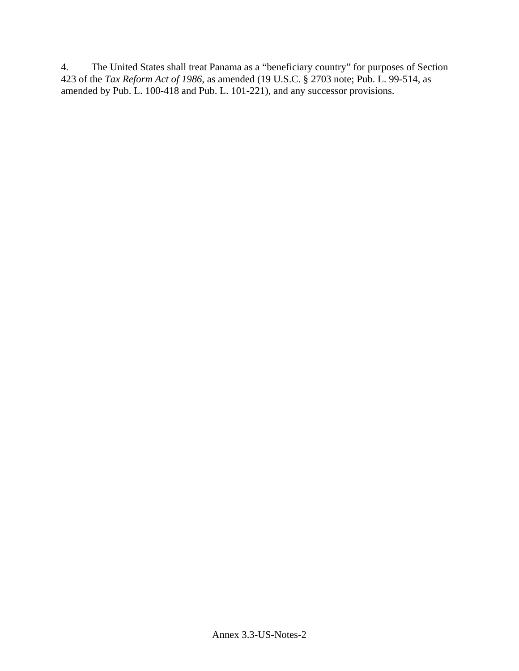4. The United States shall treat Panama as a "beneficiary country" for purposes of Section 423 of the *Tax Reform Act of 1986*, as amended (19 U.S.C. § 2703 note; Pub. L. 99-514, as amended by Pub. L. 100-418 and Pub. L. 101-221), and any successor provisions.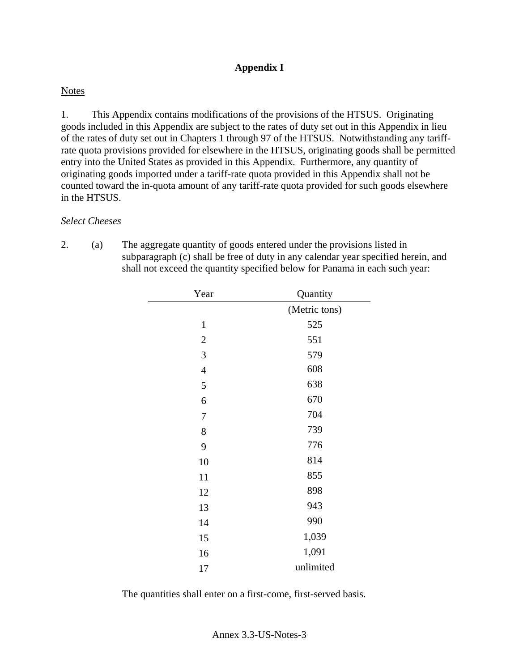## **Appendix I**

## **Notes**

1. This Appendix contains modifications of the provisions of the HTSUS. Originating goods included in this Appendix are subject to the rates of duty set out in this Appendix in lieu of the rates of duty set out in Chapters 1 through 97 of the HTSUS. Notwithstanding any tariffrate quota provisions provided for elsewhere in the HTSUS, originating goods shall be permitted entry into the United States as provided in this Appendix. Furthermore, any quantity of originating goods imported under a tariff-rate quota provided in this Appendix shall not be counted toward the in-quota amount of any tariff-rate quota provided for such goods elsewhere in the HTSUS.

## *Select Cheeses*

2. (a) The aggregate quantity of goods entered under the provisions listed in subparagraph (c) shall be free of duty in any calendar year specified herein, and shall not exceed the quantity specified below for Panama in each such year:

| Year             | Quantity      |
|------------------|---------------|
|                  | (Metric tons) |
| $\mathbf{1}$     | 525           |
| $\mathfrak{2}$   | 551           |
| 3                | 579           |
| $\overline{4}$   | 608           |
| 5                | 638           |
| 6                | 670           |
| $\boldsymbol{7}$ | 704           |
| 8                | 739           |
| 9                | 776           |
| 10               | 814           |
| 11               | 855           |
| 12               | 898           |
| 13               | 943           |
| 14               | 990           |
| 15               | 1,039         |
| 16               | 1,091         |
| 17               | unlimited     |

The quantities shall enter on a first-come, first-served basis.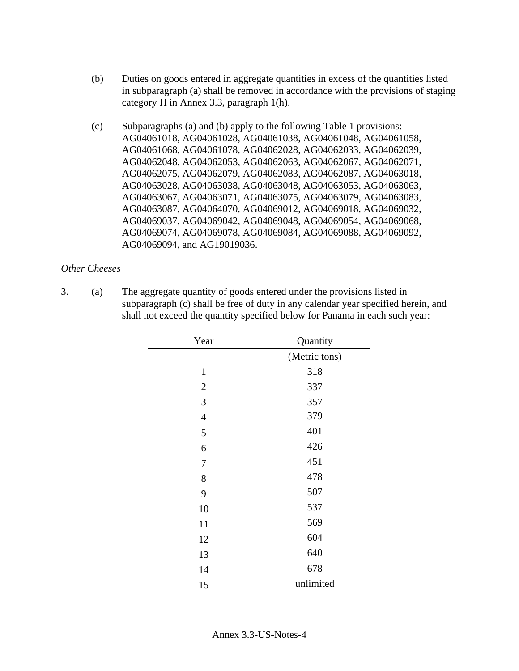- (b) Duties on goods entered in aggregate quantities in excess of the quantities listed in subparagraph (a) shall be removed in accordance with the provisions of staging category H in Annex 3.3, paragraph 1(h).
- (c) Subparagraphs (a) and (b) apply to the following Table 1 provisions: AG04061018, AG04061028, AG04061038, AG04061048, AG04061058, AG04061068, AG04061078, AG04062028, AG04062033, AG04062039, AG04062048, AG04062053, AG04062063, AG04062067, AG04062071, AG04062075, AG04062079, AG04062083, AG04062087, AG04063018, AG04063028, AG04063038, AG04063048, AG04063053, AG04063063, AG04063067, AG04063071, AG04063075, AG04063079, AG04063083, AG04063087, AG04064070, AG04069012, AG04069018, AG04069032, AG04069037, AG04069042, AG04069048, AG04069054, AG04069068, AG04069074, AG04069078, AG04069084, AG04069088, AG04069092, AG04069094, and AG19019036.

## *Other Cheeses*

3. (a) The aggregate quantity of goods entered under the provisions listed in subparagraph (c) shall be free of duty in any calendar year specified herein, and shall not exceed the quantity specified below for Panama in each such year:

| Year             | Quantity      |
|------------------|---------------|
|                  | (Metric tons) |
| $\mathbf{1}$     | 318           |
| $\overline{2}$   | 337           |
| 3                | 357           |
| $\overline{4}$   | 379           |
| 5                | 401           |
| 6                | 426           |
| $\boldsymbol{7}$ | 451           |
| 8                | 478           |
| 9                | 507           |
| 10               | 537           |
| 11               | 569           |
| 12               | 604           |
| 13               | 640           |
| 14               | 678           |
| 15               | unlimited     |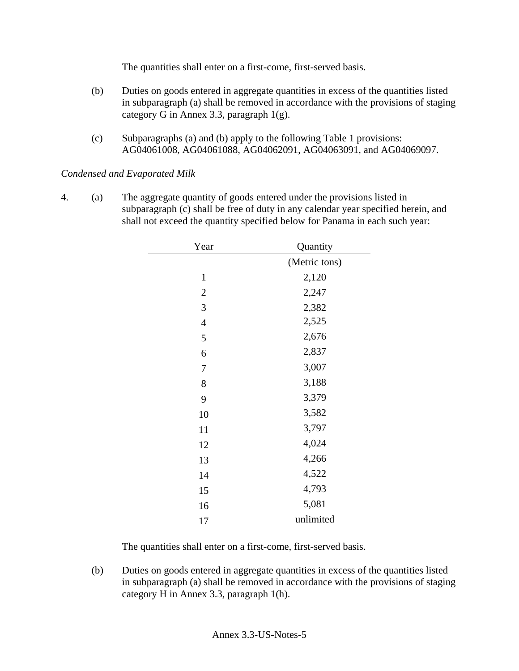The quantities shall enter on a first-come, first-served basis.

- (b) Duties on goods entered in aggregate quantities in excess of the quantities listed in subparagraph (a) shall be removed in accordance with the provisions of staging category G in Annex 3.3, paragraph 1(g).
- (c) Subparagraphs (a) and (b) apply to the following Table 1 provisions: AG04061008, AG04061088, AG04062091, AG04063091, and AG04069097.

*Condensed and Evaporated Milk* 

4. (a) The aggregate quantity of goods entered under the provisions listed in subparagraph (c) shall be free of duty in any calendar year specified herein, and shall not exceed the quantity specified below for Panama in each such year:

| Year           | Quantity      |
|----------------|---------------|
|                | (Metric tons) |
| $\mathbf{1}$   | 2,120         |
| $\mathfrak{2}$ | 2,247         |
| 3              | 2,382         |
| $\overline{4}$ | 2,525         |
| 5              | 2,676         |
| 6              | 2,837         |
| 7              | 3,007         |
| 8              | 3,188         |
| 9              | 3,379         |
| 10             | 3,582         |
| 11             | 3,797         |
| 12             | 4,024         |
| 13             | 4,266         |
| 14             | 4,522         |
| 15             | 4,793         |
| 16             | 5,081         |
| 17             | unlimited     |

The quantities shall enter on a first-come, first-served basis.

 (b) Duties on goods entered in aggregate quantities in excess of the quantities listed in subparagraph (a) shall be removed in accordance with the provisions of staging category H in Annex 3.3, paragraph 1(h).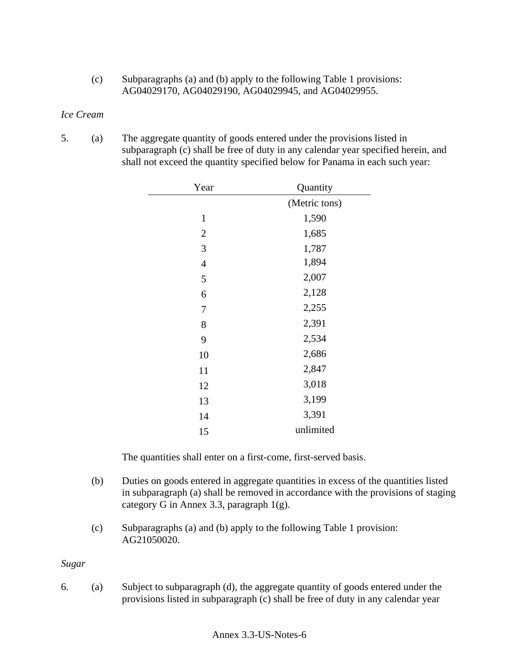(c) Subparagraphs (a) and (b) apply to the following Table 1 provisions: AG04029170, AG04029190, AG04029945, and AG04029955.

#### *Ice Cream*

5. (a) The aggregate quantity of goods entered under the provisions listed in subparagraph (c) shall be free of duty in any calendar year specified herein, and shall not exceed the quantity specified below for Panama in each such year:

| Year           | Quantity      |
|----------------|---------------|
|                | (Metric tons) |
| $\mathbf{1}$   | 1,590         |
| $\mathfrak{2}$ | 1,685         |
| 3              | 1,787         |
| $\overline{4}$ | 1,894         |
| 5              | 2,007         |
| 6              | 2,128         |
| 7              | 2,255         |
| 8              | 2,391         |
| 9              | 2,534         |
| 10             | 2,686         |
| 11             | 2,847         |
| 12             | 3,018         |
| 13             | 3,199         |
| 14             | 3,391         |
| 15             | unlimited     |

The quantities shall enter on a first-come, first-served basis.

- (b) Duties on goods entered in aggregate quantities in excess of the quantities listed in subparagraph (a) shall be removed in accordance with the provisions of staging category G in Annex 3.3, paragraph 1(g).
- (c) Subparagraphs (a) and (b) apply to the following Table 1 provision: AG21050020.

#### *Sugar*

6. (a) Subject to subparagraph (d), the aggregate quantity of goods entered under the provisions listed in subparagraph (c) shall be free of duty in any calendar year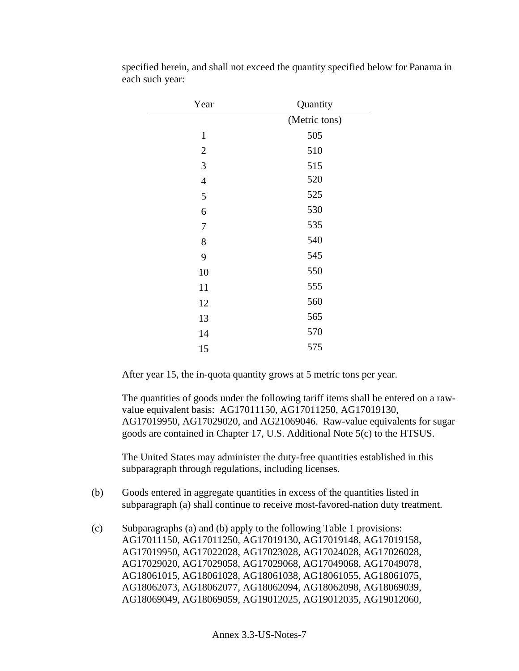| Year             | Quantity      |
|------------------|---------------|
|                  | (Metric tons) |
| $\mathbf{1}$     | 505           |
| $\mathfrak{2}$   | 510           |
| 3                | 515           |
| $\overline{4}$   | 520           |
| 5                | 525           |
| 6                | 530           |
| $\boldsymbol{7}$ | 535           |
| 8                | 540           |
| 9                | 545           |
| 10               | 550           |
| 11               | 555           |
| 12               | 560           |
| 13               | 565           |
| 14               | 570           |
| 15               | 575           |

specified herein, and shall not exceed the quantity specified below for Panama in each such year:

After year 15, the in-quota quantity grows at 5 metric tons per year.

The quantities of goods under the following tariff items shall be entered on a rawvalue equivalent basis: AG17011150, AG17011250, AG17019130, AG17019950, AG17029020, and AG21069046. Raw-value equivalents for sugar goods are contained in Chapter 17, U.S. Additional Note 5(c) to the HTSUS.

The United States may administer the duty-free quantities established in this subparagraph through regulations, including licenses.

- (b) Goods entered in aggregate quantities in excess of the quantities listed in subparagraph (a) shall continue to receive most-favored-nation duty treatment.
- (c) Subparagraphs (a) and (b) apply to the following Table 1 provisions: AG17011150, AG17011250, AG17019130, AG17019148, AG17019158, AG17019950, AG17022028, AG17023028, AG17024028, AG17026028, AG17029020, AG17029058, AG17029068, AG17049068, AG17049078, AG18061015, AG18061028, AG18061038, AG18061055, AG18061075, AG18062073, AG18062077, AG18062094, AG18062098, AG18069039, AG18069049, AG18069059, AG19012025, AG19012035, AG19012060,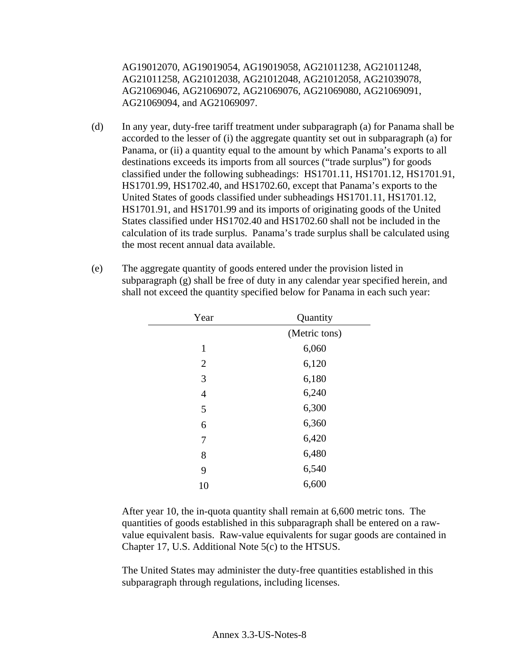AG19012070, AG19019054, AG19019058, AG21011238, AG21011248, AG21011258, AG21012038, AG21012048, AG21012058, AG21039078, AG21069046, AG21069072, AG21069076, AG21069080, AG21069091, AG21069094, and AG21069097.

- (d) In any year, duty-free tariff treatment under subparagraph (a) for Panama shall be accorded to the lesser of (i) the aggregate quantity set out in subparagraph (a) for Panama, or (ii) a quantity equal to the amount by which Panama's exports to all destinations exceeds its imports from all sources ("trade surplus") for goods classified under the following subheadings: HS1701.11, HS1701.12, HS1701.91, HS1701.99, HS1702.40, and HS1702.60, except that Panama's exports to the United States of goods classified under subheadings HS1701.11, HS1701.12, HS1701.91, and HS1701.99 and its imports of originating goods of the United States classified under HS1702.40 and HS1702.60 shall not be included in the calculation of its trade surplus. Panama's trade surplus shall be calculated using the most recent annual data available.
- (e) The aggregate quantity of goods entered under the provision listed in subparagraph (g) shall be free of duty in any calendar year specified herein, and shall not exceed the quantity specified below for Panama in each such year:

| Year           | Quantity      |
|----------------|---------------|
|                | (Metric tons) |
| $\mathbf{1}$   | 6,060         |
| $\overline{2}$ | 6,120         |
| 3              | 6,180         |
| $\overline{4}$ | 6,240         |
| 5              | 6,300         |
| 6              | 6,360         |
| 7              | 6,420         |
| 8              | 6,480         |
| 9              | 6,540         |
| 10             | 6,600         |

 After year 10, the in-quota quantity shall remain at 6,600 metric tons. The quantities of goods established in this subparagraph shall be entered on a rawvalue equivalent basis. Raw-value equivalents for sugar goods are contained in Chapter 17, U.S. Additional Note 5(c) to the HTSUS.

The United States may administer the duty-free quantities established in this subparagraph through regulations, including licenses.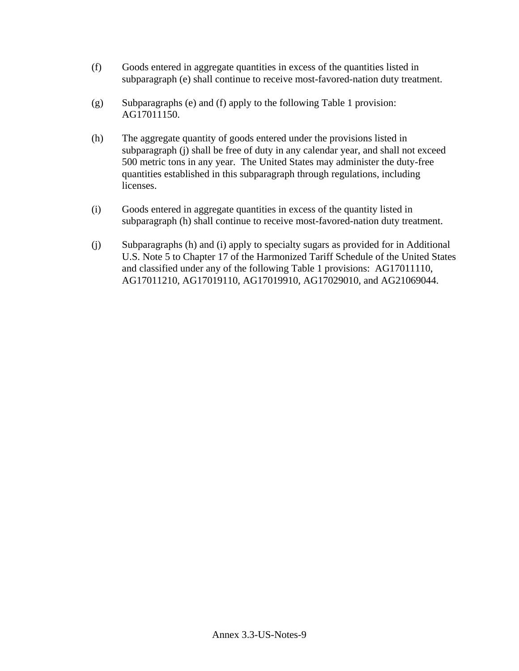- (f) Goods entered in aggregate quantities in excess of the quantities listed in subparagraph (e) shall continue to receive most-favored-nation duty treatment.
- (g) Subparagraphs (e) and (f) apply to the following Table 1 provision: AG17011150.
- (h) The aggregate quantity of goods entered under the provisions listed in subparagraph (j) shall be free of duty in any calendar year, and shall not exceed 500 metric tons in any year. The United States may administer the duty-free quantities established in this subparagraph through regulations, including licenses.
- (i) Goods entered in aggregate quantities in excess of the quantity listed in subparagraph (h) shall continue to receive most-favored-nation duty treatment.
- (j) Subparagraphs (h) and (i) apply to specialty sugars as provided for in Additional U.S. Note 5 to Chapter 17 of the Harmonized Tariff Schedule of the United States and classified under any of the following Table 1 provisions: AG17011110, AG17011210, AG17019110, AG17019910, AG17029010, and AG21069044.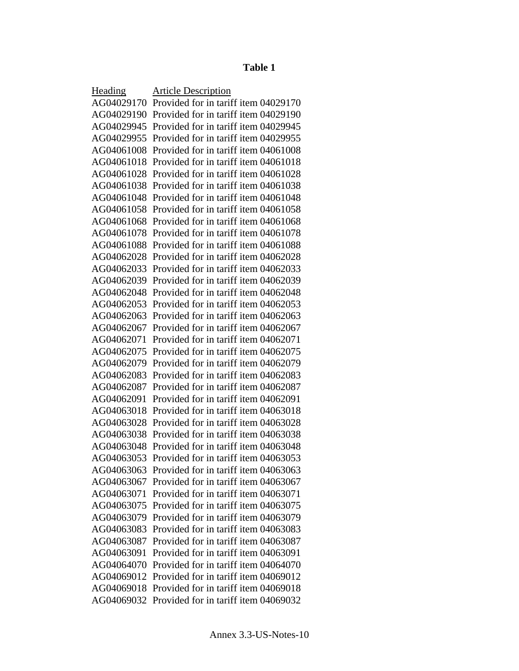# **Table 1**

| Heading    | <b>Article Description</b>                      |
|------------|-------------------------------------------------|
| AG04029170 | Provided for in tariff item 04029170            |
|            | AG04029190 Provided for in tariff item 04029190 |
| AG04029945 | Provided for in tariff item 04029945            |
| AG04029955 | Provided for in tariff item 04029955            |
| AG04061008 | Provided for in tariff item 04061008            |
| AG04061018 | Provided for in tariff item 04061018            |
| AG04061028 | Provided for in tariff item 04061028            |
| AG04061038 | Provided for in tariff item 04061038            |
| AG04061048 | Provided for in tariff item 04061048            |
| AG04061058 | Provided for in tariff item 04061058            |
| AG04061068 | Provided for in tariff item 04061068            |
| AG04061078 | Provided for in tariff item 04061078            |
| AG04061088 | Provided for in tariff item 04061088            |
| AG04062028 | Provided for in tariff item 04062028            |
| AG04062033 | Provided for in tariff item 04062033            |
| AG04062039 | Provided for in tariff item 04062039            |
| AG04062048 | Provided for in tariff item 04062048            |
| AG04062053 | Provided for in tariff item 04062053            |
| AG04062063 | Provided for in tariff item 04062063            |
| AG04062067 | Provided for in tariff item 04062067            |
| AG04062071 | Provided for in tariff item 04062071            |
| AG04062075 | Provided for in tariff item 04062075            |
| AG04062079 | Provided for in tariff item 04062079            |
| AG04062083 | Provided for in tariff item 04062083            |
| AG04062087 | Provided for in tariff item 04062087            |
| AG04062091 | Provided for in tariff item 04062091            |
| AG04063018 | Provided for in tariff item 04063018            |
| AG04063028 | Provided for in tariff item 04063028            |
| AG04063038 | Provided for in tariff item 04063038            |
| AG04063048 | Provided for in tariff item 04063048            |
| AG04063053 | Provided for in tariff item 04063053            |
| AG04063063 | Provided for in tariff item 04063063            |
| AG04063067 | Provided for in tariff item 04063067            |
| AG04063071 | Provided for in tariff item 04063071            |
| AG04063075 | Provided for in tariff item 04063075            |
| AG04063079 | Provided for in tariff item 04063079            |
| AG04063083 | Provided for in tariff item 04063083            |
| AG04063087 | Provided for in tariff item 04063087            |
| AG04063091 | Provided for in tariff item 04063091            |
| AG04064070 | Provided for in tariff item 04064070            |
| AG04069012 | Provided for in tariff item 04069012            |
| AG04069018 | Provided for in tariff item 04069018            |
| AG04069032 | Provided for in tariff item 04069032            |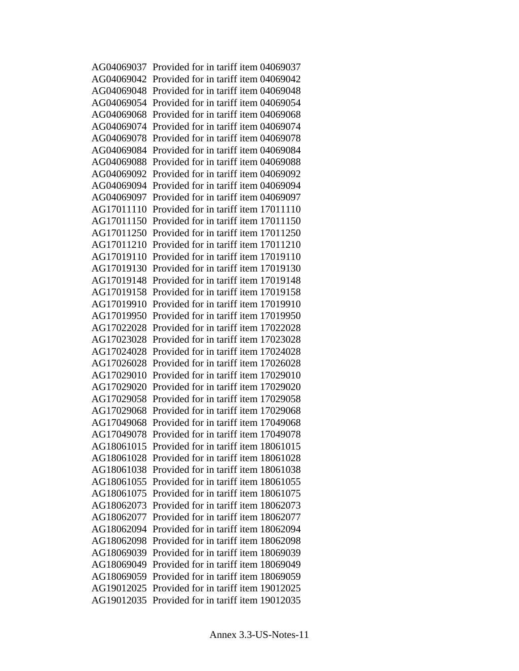AG04069037 Provided for in tariff item 04069037 AG04069042 Provided for in tariff item 04069042 AG04069048 Provided for in tariff item 04069048 AG04069054 Provided for in tariff item 04069054 AG04069068 Provided for in tariff item 04069068 AG04069074 Provided for in tariff item 04069074 AG04069078 Provided for in tariff item 04069078 AG04069084 Provided for in tariff item 04069084 AG04069088 Provided for in tariff item 04069088 AG04069092 Provided for in tariff item 04069092 AG04069094 Provided for in tariff item 04069094 AG04069097 Provided for in tariff item 04069097 AG17011110 Provided for in tariff item 17011110 AG17011150 Provided for in tariff item 17011150 AG17011250 Provided for in tariff item 17011250 AG17011210 Provided for in tariff item 17011210 AG17019110 Provided for in tariff item 17019110 AG17019130 Provided for in tariff item 17019130 AG17019148 Provided for in tariff item 17019148 AG17019158 Provided for in tariff item 17019158 AG17019910 Provided for in tariff item 17019910 AG17019950 Provided for in tariff item 17019950 AG17022028 Provided for in tariff item 17022028 AG17023028 Provided for in tariff item 17023028 AG17024028 Provided for in tariff item 17024028 AG17026028 Provided for in tariff item 17026028 AG17029010 Provided for in tariff item 17029010 AG17029020 Provided for in tariff item 17029020 AG17029058 Provided for in tariff item 17029058 AG17029068 Provided for in tariff item 17029068 AG17049068 Provided for in tariff item 17049068 AG17049078 Provided for in tariff item 17049078 AG18061015 Provided for in tariff item 18061015 AG18061028 Provided for in tariff item 18061028 AG18061038 Provided for in tariff item 18061038 AG18061055 Provided for in tariff item 18061055 AG18061075 Provided for in tariff item 18061075 AG18062073 Provided for in tariff item 18062073 AG18062077 Provided for in tariff item 18062077 AG18062094 Provided for in tariff item 18062094 AG18062098 Provided for in tariff item 18062098 AG18069039 Provided for in tariff item 18069039 AG18069049 Provided for in tariff item 18069049 AG18069059 Provided for in tariff item 18069059 AG19012025 Provided for in tariff item 19012025 AG19012035 Provided for in tariff item 19012035